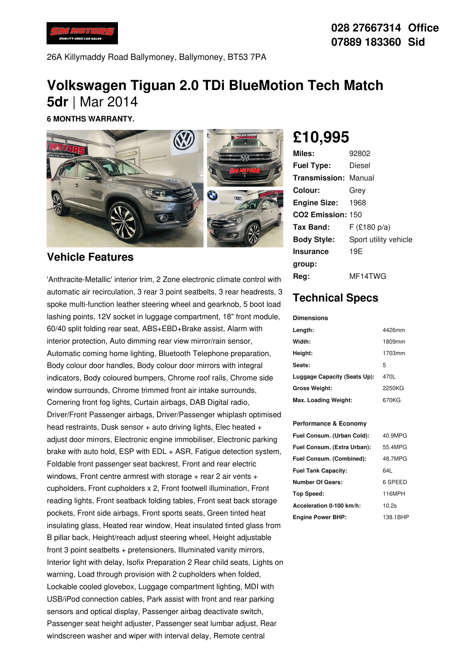

26A Killymaddy Road Ballymoney, Ballymoney, BT53 7PA

# **Volkswagen Tiguan 2.0 TDi BlueMotion Tech Match 5dr** |Mar 2014

**6 MONTHS WARRANTY.**



### **Vehicle Features**

'Anthracite-Metallic' interior trim, 2 Zone electronic climate control with automatic air recirculation, 3 rear 3 point seatbelts, 3 rear headrests, 3 spoke multi-function leather steering wheel and gearknob, 5 boot load lashing points, 12V socket in luggage compartment, 18" front module, 60/40 split folding rear seat, ABS+EBD+Brake assist, Alarm with interior protection, Auto dimming rear view mirror/rain sensor, Automatic coming home lighting, Bluetooth Telephone preparation, Body colour door handles, Body colour door mirrors with integral indicators, Body coloured bumpers, Chrome roof rails, Chrome side window surrounds, Chrome trimmed front air intake surrounds, Cornering front fog lights, Curtain airbags, DAB Digital radio, Driver/Front Passenger airbags, Driver/Passenger whiplash optimised head restraints, Dusk sensor  $+$  auto driving lights, Elec heated  $+$ adjust door mirrors, Electronic engine immobiliser, Electronic parking brake with auto hold, ESP with EDL + ASR, Fatigue detection system, Foldable front passenger seat backrest, Front and rear electric windows, Front centre armrest with storage  $+$  rear 2 air vents  $+$ cupholders, Front cupholders x 2, Front footwell illumination, Front reading lights, Front seatback folding tables, Front seat back storage pockets, Front side airbags, Front sports seats, Green tinted heat insulating glass, Heated rear window, Heat insulated tinted glass from B pillar back, Height/reach adjust steering wheel, Height adjustable front 3 point seatbelts + pretensioners, Illuminated vanity mirrors, Interior light with delay, Isofix Preparation 2 Rear child seats, Lights on warning, Load through provision with 2 cupholders when folded, Lockable cooled glovebox, Luggage compartment lighting, MDI with USB/iPod connection cables, Park assist with front and rear parking sensors and optical display, Passenger airbag deactivate switch, Passenger seat height adjuster, Passenger seat lumbar adjust, Rear windscreen washer and wiper with interval delay, Remote central

# **£10,995**

| Miles:                        | 92802                 |
|-------------------------------|-----------------------|
| <b>Fuel Type:</b>             | Diesel                |
| <b>Transmission: Manual</b>   |                       |
| Colour:                       | Grey                  |
| <b>Engine Size: 1968</b>      |                       |
| CO <sub>2</sub> Emission: 150 |                       |
| Tax Band:                     | $F$ (£180 p/a)        |
| <b>Body Style:</b>            | Sport utility vehicle |
| <b>Insurance</b>              | 19E                   |
| group:                        |                       |
| Reg:                          | MF14TWG               |

## **Technical Specs**

#### **Dimensions**

| Length:                      | 4426mm |
|------------------------------|--------|
| Width:                       | 1809mm |
| Height:                      | 1703mm |
| Seats:                       | 5      |
| Luggage Capacity (Seats Up): | 470L   |
| <b>Gross Weight:</b>         | 2250KG |
| Max. Loading Weight:         | 670KG  |

### **Performance & Economy**

| Fuel Consum. (Urban Cold):  | 40.9MPG  |
|-----------------------------|----------|
| Fuel Consum. (Extra Urban): | 55.4MPG  |
| Fuel Consum. (Combined):    | 48.7MPG  |
| <b>Fuel Tank Capacity:</b>  | 64I      |
| <b>Number Of Gears:</b>     | 6 SPEED  |
| <b>Top Speed:</b>           | 116MPH   |
| Acceleration 0-100 km/h:    | 10.2s    |
| <b>Engine Power BHP:</b>    | 138.1BHP |